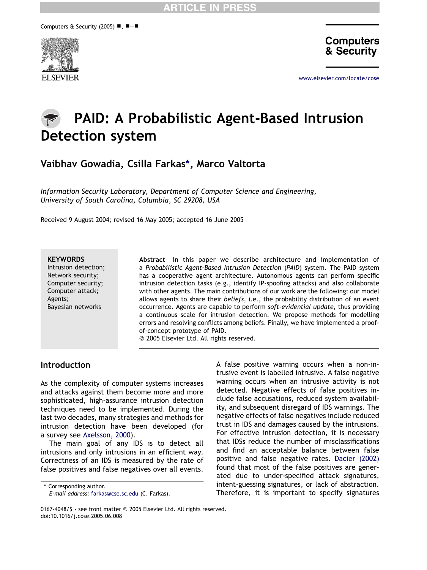

**Computers** & Security

[www.elsevier.com/locate/cose](http://www.elsevier.com/locate/cose)

# PAID: A Probabilistic Agent-Based Intrusion Detection system

Vaibhav Gowadia, Csilla Farkas\*, Marco Valtorta

Information Security Laboratory, Department of Computer Science and Engineering, University of South Carolina, Columbia, SC 29208, USA

Received 9 August 2004; revised 16 May 2005; accepted 16 June 2005

#### **KEYWORDS**

Intrusion detection; Network security; Computer security; Computer attack; Agents; Bayesian networks

Abstract In this paper we describe architecture and implementation of a Probabilistic Agent-Based Intrusion Detection (PAID) system. The PAID system has a cooperative agent architecture. Autonomous agents can perform specific intrusion detection tasks (e.g., identify IP-spoofing attacks) and also collaborate with other agents. The main contributions of our work are the following: our model allows agents to share their beliefs, i.e., the probability distribution of an event occurrence. Agents are capable to perform soft-evidential update, thus providing a continuous scale for intrusion detection. We propose methods for modelling errors and resolving conflicts among beliefs. Finally, we have implemented a proofof-concept prototype of PAID.

 $@$  2005 Elsevier Ltd. All rights reserved.

## Introduction

As the complexity of computer systems increases and attacks against them become more and more sophisticated, high-assurance intrusion detection techniques need to be implemented. During the last two decades, many strategies and methods for intrusion detection have been developed (for a survey see [Axelsson, 2000\)](#page-14-0).

The main goal of any IDS is to detect all intrusions and only intrusions in an efficient way. Correctness of an IDS is measured by the rate of false positives and false negatives over all events.

Corresponding author. E-mail address: [farkas@cse.sc.edu](mailto:farkas@cse.sc.edu) (C. Farkas). A false positive warning occurs when a non-intrusive event is labelled intrusive. A false negative warning occurs when an intrusive activity is not detected. Negative effects of false positives include false accusations, reduced system availability, and subsequent disregard of IDS warnings. The negative effects of false negatives include reduced trust in IDS and damages caused by the intrusions. For effective intrusion detection, it is necessary that IDSs reduce the number of misclassifications and find an acceptable balance between false positive and false negative rates. [Dacier \(2002\)](#page-15-0) found that most of the false positives are generated due to under-specified attack signatures, intent-guessing signatures, or lack of abstraction. Therefore, it is important to specify signatures

<sup>0167-4048/\$ -</sup> see front matter © 2005 Elsevier Ltd. All rights reserved. doi:10.1016/j.cose.2005.06.008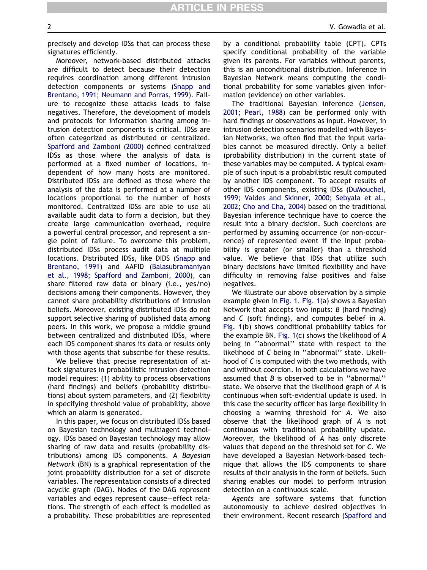precisely and develop IDSs that can process these signatures efficiently.

Moreover, network-based distributed attacks are difficult to detect because their detection requires coordination among different intrusion detection components or systems ([Snapp and](#page-15-0) [Brentano, 1991; Neumann and Porras, 1999\)](#page-15-0). Failure to recognize these attacks leads to false negatives. Therefore, the development of models and protocols for information sharing among intrusion detection components is critical. IDSs are often categorized as distributed or centralized. [Spafford and Zamboni \(2000\)](#page-15-0) defined centralized IDSs as those where the analysis of data is performed at a fixed number of locations, independent of how many hosts are monitored. Distributed IDSs are defined as those where the analysis of the data is performed at a number of locations proportional to the number of hosts monitored. Centralized IDSs are able to use all available audit data to form a decision, but they create large communication overhead, require a powerful central processor, and represent a single point of failure. To overcome this problem, distributed IDSs process audit data at multiple locations. Distributed IDSs, like DIDS [\(Snapp and](#page-15-0) [Brentano, 1991](#page-15-0)) and AAFID [\(Balasubramaniyan](#page-14-0) [et al., 1998; Spafford and Zamboni, 2000](#page-14-0)), can share filtered raw data or binary (i.e., yes/no) decisions among their components. However, they cannot share probability distributions of intrusion beliefs. Moreover, existing distributed IDSs do not support selective sharing of published data among peers. In this work, we propose a middle ground between centralized and distributed IDSs, where each IDS component shares its data or results only with those agents that subscribe for these results.

We believe that precise representation of attack signatures in probabilistic intrusion detection model requires: (1) ability to process observations (hard findings) and beliefs (probability distributions) about system parameters, and (2) flexibility in specifying threshold value of probability, above which an alarm is generated.

In this paper, we focus on distributed IDSs based on Bayesian technology and multiagent technology. IDSs based on Bayesian technology may allow sharing of raw data and results (probability distributions) among IDS components. A Bayesian Network (BN) is a graphical representation of the joint probability distribution for a set of discrete variables. The representation consists of a directed acyclic graph (DAG). Nodes of the DAG represent variables and edges represent cause-effect relations. The strength of each effect is modelled as a probability. These probabilities are represented by a conditional probability table (CPT). CPTs specify conditional probability of the variable given its parents. For variables without parents, this is an unconditional distribution. Inference in Bayesian Network means computing the conditional probability for some variables given information (evidence) on other variables.

The traditional Bayesian inference ([Jensen,](#page-15-0) [2001; Pearl, 1988](#page-15-0)) can be performed only with hard findings or observations as input. However, in intrusion detection scenarios modelled with Bayesian Networks, we often find that the input variables cannot be measured directly. Only a belief (probability distribution) in the current state of these variables may be computed. A typical example of such input is a probabilistic result computed by another IDS component. To accept results of other IDS components, existing IDSs [\(DuMouchel,](#page-15-0) [1999; Valdes and Skinner, 2000; Sebyala et al.,](#page-15-0) [2002; Cho and Cha, 2004\)](#page-15-0) based on the traditional Bayesian inference technique have to coerce the result into a binary decision. Such coercions are performed by assuming occurrence (or non-occurrence) of represented event if the input probability is greater (or smaller) than a threshold value. We believe that IDSs that utilize such binary decisions have limited flexibility and have difficulty in removing false positives and false negatives.

We illustrate our above observation by a simple example given in [Fig. 1](#page-2-0). [Fig. 1](#page-2-0)(a) shows a Bayesian Network that accepts two inputs: B (hard finding) and C (soft finding), and computes belief in A. [Fig. 1\(](#page-2-0)b) shows conditional probability tables for the example BN. [Fig. 1\(](#page-2-0)c) shows the likelihood of A being in ''abnormal'' state with respect to the likelihood of C being in ''abnormal'' state. Likelihood of C is computed with the two methods, with and without coercion. In both calculations we have assumed that B is observed to be in ''abnormal'' state. We observe that the likelihood graph of A is continuous when soft-evidential update is used. In this case the security officer has large flexibility in choosing a warning threshold for A. We also observe that the likelihood graph of A is not continuous with traditional probability update. Moreover, the likelihood of A has only discrete values that depend on the threshold set for C. We have developed a Bayesian Network-based technique that allows the IDS components to share results of their analysis in the form of beliefs. Such sharing enables our model to perform intrusion detection on a continuous scale.

Agents are software systems that function autonomously to achieve desired objectives in their environment. Recent research ([Spafford and](#page-15-0)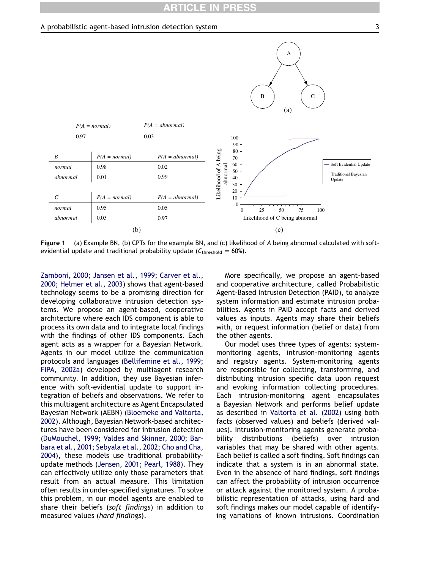## ARTICLE IN PRESS

#### <span id="page-2-0"></span>A probabilistic agent-based intrusion detection system 3



Figure 1 (a) Example BN, (b) CPTs for the example BN, and (c) likelihood of A being abnormal calculated with softevidential update and traditional probability update ( $C_{\text{threshold}} = 60\%$ ).

[Zamboni, 2000; Jansen et al., 1999; Carver et al.,](#page-15-0) [2000; Helmer et al., 2003](#page-15-0)) shows that agent-based technology seems to be a promising direction for developing collaborative intrusion detection systems. We propose an agent-based, cooperative architecture where each IDS component is able to process its own data and to integrate local findings with the findings of other IDS components. Each agent acts as a wrapper for a Bayesian Network. Agents in our model utilize the communication protocols and languages ([Bellifemine et al., 1999;](#page-15-0) [FIPA, 2002a\)](#page-15-0) developed by multiagent research community. In addition, they use Bayesian inference with soft-evidential update to support integration of beliefs and observations. We refer to this multiagent architecture as Agent Encapsulated Bayesian Network (AEBN) [\(Bloemeke and Valtorta,](#page-15-0) [2002](#page-15-0)). Although, Bayesian Network-based architectures have been considered for intrusion detection [\(DuMouchel, 1999; Valdes and Skinner, 2000; Bar](#page-15-0)[bara et al., 2001; Sebyala et al., 2002; Cho and Cha,](#page-15-0) [2004](#page-15-0)), these models use traditional probabilityupdate methods [\(Jensen, 2001; Pearl, 1988\)](#page-15-0). They can effectively utilize only those parameters that result from an actual measure. This limitation often results in under-specified signatures. To solve this problem, in our model agents are enabled to share their beliefs (soft findings) in addition to measured values (hard findings).

More specifically, we propose an agent-based and cooperative architecture, called Probabilistic Agent-Based Intrusion Detection (PAID), to analyze system information and estimate intrusion probabilities. Agents in PAID accept facts and derived values as inputs. Agents may share their beliefs with, or request information (belief or data) from the other agents.

Our model uses three types of agents: systemmonitoring agents, intrusion-monitoring agents and registry agents. System-monitoring agents are responsible for collecting, transforming, and distributing intrusion specific data upon request and evoking information collecting procedures. Each intrusion-monitoring agent encapsulates a Bayesian Network and performs belief update as described in [Valtorta et al. \(2002\)](#page-15-0) using both facts (observed values) and beliefs (derived values). Intrusion-monitoring agents generate probability distributions (beliefs) over intrusion variables that may be shared with other agents. Each belief is called a soft finding. Soft findings can indicate that a system is in an abnormal state. Even in the absence of hard findings, soft findings can affect the probability of intrusion occurrence or attack against the monitored system. A probabilistic representation of attacks, using hard and soft findings makes our model capable of identifying variations of known intrusions. Coordination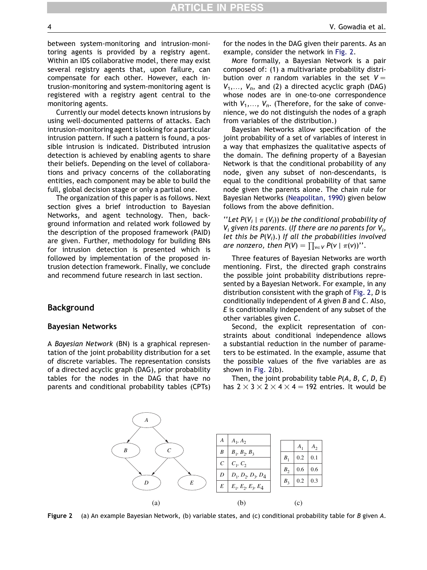<span id="page-3-0"></span>between system-monitoring and intrusion-monitoring agents is provided by a registry agent. Within an IDS collaborative model, there may exist several registry agents that, upon failure, can compensate for each other. However, each intrusion-monitoring and system-monitoring agent is registered with a registry agent central to the monitoring agents.

Currently our model detects known intrusions by using well-documented patterns of attacks. Each intrusion-monitoring agent is looking for a particular intrusion pattern. If such a pattern is found, a possible intrusion is indicated. Distributed intrusion detection is achieved by enabling agents to share their beliefs. Depending on the level of collaborations and privacy concerns of the collaborating entities, each component may be able to build the full, global decision stage or only a partial one.

The organization of this paper is as follows. Next section gives a brief introduction to Bayesian Networks, and agent technology. Then, background information and related work followed by the description of the proposed framework (PAID) are given. Further, methodology for building BNs for intrusion detection is presented which is followed by implementation of the proposed intrusion detection framework. Finally, we conclude and recommend future research in last section.

## Background

#### Bayesian Networks

A Bayesian Network (BN) is a graphical representation of the joint probability distribution for a set of discrete variables. The representation consists of a directed acyclic graph (DAG), prior probability tables for the nodes in the DAG that have no parents and conditional probability tables (CPTs) for the nodes in the DAG given their parents. As an example, consider the network in Fig. 2.

More formally, a Bayesian Network is a pair composed of: (1) a multivariate probability distribution over *n* random variables in the set  $V =$  $V_1, \ldots, V_n$ , and (2) a directed acyclic graph (DAG) whose nodes are in one-to-one correspondence with  $V_1, ..., V_n$ . (Therefore, for the sake of convenience, we do not distinguish the nodes of a graph from variables of the distribution.)

Bayesian Networks allow specification of the joint probability of a set of variables of interest in a way that emphasizes the qualitative aspects of the domain. The defining property of a Bayesian Network is that the conditional probability of any node, given any subset of non-descendants, is equal to the conditional probability of that same node given the parents alone. The chain rule for Bayesian Networks [\(Neapolitan, 1990](#page-15-0)) given below follows from the above definition.

"Let  $P(V_i | \pi(V_i))$  be the conditional probability of  $V_i$  given its parents. (If there are no parents for  $V_i$ , let this be  $P(V_i)$ .) If all the probabilities involved are nonzero, then  $P(V) = \prod_{v \in V} P(v | \pi(v))$ ".

Three features of Bayesian Networks are worth mentioning. First, the directed graph constrains the possible joint probability distributions represented by a Bayesian Network. For example, in any distribution consistent with the graph of Fig. 2, D is conditionally independent of A given B and C. Also, E is conditionally independent of any subset of the other variables given C.

Second, the explicit representation of constraints about conditional independence allows a substantial reduction in the number of parameters to be estimated. In the example, assume that the possible values of the five variables are as shown in Fig. 2(b).

Then, the joint probability table  $P(A, B, C, D, E)$ has  $2 \times 3 \times 2 \times 4 \times 4 = 192$  entries. It would be



Figure 2 (a) An example Bayesian Network, (b) variable states, and (c) conditional probability table for B given A.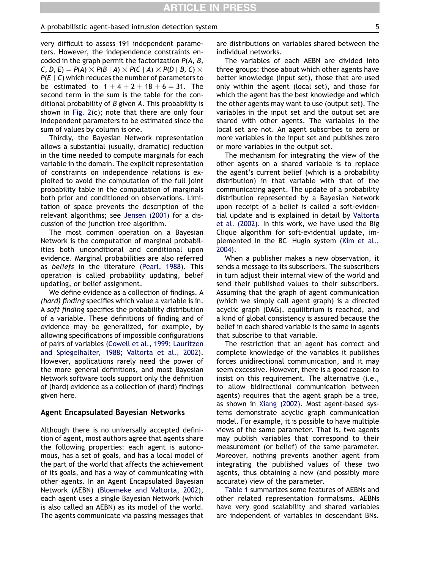#### A probabilistic agent-based intrusion detection system  $\overline{5}$

very difficult to assess 191 independent parameters. However, the independence constraints encoded in the graph permit the factorization  $P(A, B, A)$ C, D, E) =  $P(A) \times P(B | A) \times P(C | A) \times P(D | B, C) \times$  $P(E | C)$  which reduces the number of parameters to be estimated to  $1 + 4 + 2 + 18 + 6 = 31$ . The second term in the sum is the table for the conditional probability of B given A. This probability is shown in [Fig. 2](#page-3-0)(c); note that there are only four independent parameters to be estimated since the sum of values by column is one.

Thirdly, the Bayesian Network representation allows a substantial (usually, dramatic) reduction in the time needed to compute marginals for each variable in the domain. The explicit representation of constraints on independence relations is exploited to avoid the computation of the full joint probability table in the computation of marginals both prior and conditioned on observations. Limitation of space prevents the description of the relevant algorithms; see [Jensen \(2001\)](#page-15-0) for a discussion of the junction tree algorithm.

The most common operation on a Bayesian Network is the computation of marginal probabilities both unconditional and conditional upon evidence. Marginal probabilities are also referred as beliefs in the literature [\(Pearl, 1988](#page-15-0)). This operation is called probability updating, belief updating, or belief assignment.

We define evidence as a collection of findings. A (hard) finding specifies which value a variable is in. A soft finding specifies the probability distribution of a variable. These definitions of finding and of evidence may be generalized, for example, by allowing specifications of impossible configurations of pairs of variables [\(Cowell et al., 1999; Lauritzen](#page-15-0) [and Spiegelhalter, 1988; Valtorta et al., 2002\)](#page-15-0). However, applications rarely need the power of the more general definitions, and most Bayesian Network software tools support only the definition of (hard) evidence as a collection of (hard) findings given here.

#### Agent Encapsulated Bayesian Networks

Although there is no universally accepted definition of agent, most authors agree that agents share the following properties: each agent is autonomous, has a set of goals, and has a local model of the part of the world that affects the achievement of its goals, and has a way of communicating with other agents. In an Agent Encapsulated Bayesian Network (AEBN) [\(Bloemeke and Valtorta, 2002\)](#page-15-0), each agent uses a single Bayesian Network (which is also called an AEBN) as its model of the world. The agents communicate via passing messages that are distributions on variables shared between the individual networks.

The variables of each AEBN are divided into three groups: those about which other agents have better knowledge (input set), those that are used only within the agent (local set), and those for which the agent has the best knowledge and which the other agents may want to use (output set). The variables in the input set and the output set are shared with other agents. The variables in the local set are not. An agent subscribes to zero or more variables in the input set and publishes zero or more variables in the output set.

The mechanism for integrating the view of the other agents on a shared variable is to replace the agent's current belief (which is a probability distribution) in that variable with that of the communicating agent. The update of a probability distribution represented by a Bayesian Network upon receipt of a belief is called a soft-evidential update and is explained in detail by [Valtorta](#page-15-0) [et al. \(2002\)](#page-15-0). In this work, we have used the Big Clique algorithm for soft-evidential update, im-plemented in the BC-Hugin system [\(Kim et al.,](#page-15-0) [2004\)](#page-15-0).

When a publisher makes a new observation, it sends a message to its subscribers. The subscribers in turn adjust their internal view of the world and send their published values to their subscribers. Assuming that the graph of agent communication (which we simply call agent graph) is a directed acyclic graph (DAG), equilibrium is reached, and a kind of global consistency is assured because the belief in each shared variable is the same in agents that subscribe to that variable.

The restriction that an agent has correct and complete knowledge of the variables it publishes forces unidirectional communication, and it may seem excessive. However, there is a good reason to insist on this requirement. The alternative (i.e., to allow bidirectional communication between agents) requires that the agent graph be a tree, as shown in [Xiang \(2002\).](#page-15-0) Most agent-based systems demonstrate acyclic graph communication model. For example, it is possible to have multiple views of the same parameter. That is, two agents may publish variables that correspond to their measurement (or belief) of the same parameter. Moreover, nothing prevents another agent from integrating the published values of these two agents, thus obtaining a new (and possibly more accurate) view of the parameter.

[Table 1](#page-5-0) summarizes some features of AEBNs and other related representation formalisms. AEBNs have very good scalability and shared variables are independent of variables in descendant BNs.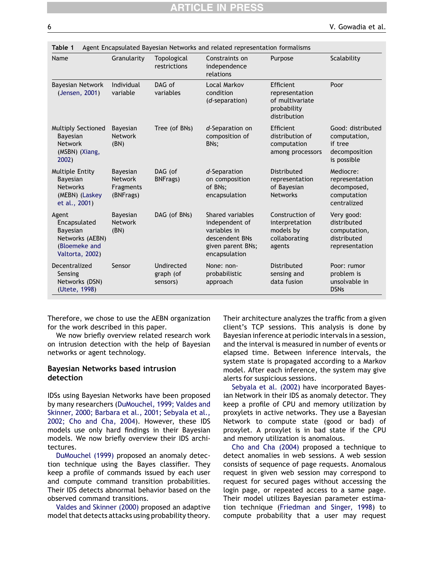| Name                                                                                     | Granularity                                          | Topological<br>restrictions         | Constraints on<br>independence<br>relations                                                                | Purpose                                                                       | Scalability                                                                  |
|------------------------------------------------------------------------------------------|------------------------------------------------------|-------------------------------------|------------------------------------------------------------------------------------------------------------|-------------------------------------------------------------------------------|------------------------------------------------------------------------------|
| Bayesian Network<br>(Jensen, 2001)                                                       | Individual<br>variable                               | DAG of<br>variables                 | Local Markov<br>condition<br>( <i>d</i> -separation)                                                       | Efficient<br>representation<br>of multivariate<br>probability<br>distribution | Poor                                                                         |
| Multiply Sectioned<br><b>Bayesian</b><br><b>Network</b><br>(MSBN) (Xiang,<br>2002)       | Bayesian<br><b>Network</b><br>(BN)                   | Tree (of BNs)                       | d-Separation on<br>composition of<br>BNs;                                                                  | Efficient<br>distribution of<br>computation<br>among processors               | Good: distributed<br>computation,<br>if tree<br>decomposition<br>is possible |
| <b>Multiple Entity</b><br>Bayesian<br><b>Networks</b><br>(MEBN) (Laskey<br>et al., 2001) | Bayesian<br><b>Network</b><br>Fragments<br>(BNFrags) | DAG (of<br><b>BNFrags</b> )         | d-Separation<br>on composition<br>of BNs;<br>encapsulation                                                 | Distributed<br>representation<br>of Bayesian<br><b>Networks</b>               | Mediocre:<br>representation<br>decomposed,<br>computation<br>centralized     |
| Agent<br>Encapsulated<br>Bayesian<br>Networks (AEBN)<br>(Bloemeke and<br>Valtorta, 2002) | Bayesian<br><b>Network</b><br>(BN)                   | DAG (of BNs)                        | Shared variables<br>independent of<br>variables in<br>descendent BNs<br>given parent BNs;<br>encapsulation | Construction of<br>interpretation<br>models by<br>collaborating<br>agents     | Very good:<br>distributed<br>computation,<br>distributed<br>representation   |
| Decentralized<br>Sensing<br>Networks (DSN)<br>(Utete, 1998)                              | Sensor                                               | Undirected<br>graph (of<br>sensors) | None: non-<br>probabilistic<br>approach                                                                    | Distributed<br>sensing and<br>data fusion                                     | Poor: rumor<br>problem is<br>unsolvable in<br><b>DSNs</b>                    |

Therefore, we chose to use the AEBN organization for the work described in this paper.

We now briefly overview related research work on intrusion detection with the help of Bayesian networks or agent technology.

## Bayesian Networks based intrusion detection

IDSs using Bayesian Networks have been proposed by many researchers [\(DuMouchel, 1999; Valdes and](#page-15-0) [Skinner, 2000; Barbara et al., 2001; Sebyala et al.,](#page-15-0) [2002; Cho and Cha, 2004](#page-15-0)). However, these IDS models use only hard findings in their Bayesian models. We now briefly overview their IDS architectures.

[DuMouchel \(1999\)](#page-15-0) proposed an anomaly detection technique using the Bayes classifier. They keep a profile of commands issued by each user and compute command transition probabilities. Their IDS detects abnormal behavior based on the observed command transitions.

[Valdes and Skinner \(2000\)](#page-15-0) proposed an adaptive model that detects attacks using probability theory. Their architecture analyzes the traffic from a given client's TCP sessions. This analysis is done by Bayesian inference at periodic intervals in a session, and the interval is measured in number of events or elapsed time. Between inference intervals, the system state is propagated according to a Markov model. After each inference, the system may give alerts for suspicious sessions.

[Sebyala et al. \(2002\)](#page-15-0) have incorporated Bayesian Network in their IDS as anomaly detector. They keep a profile of CPU and memory utilization by proxylets in active networks. They use a Bayesian Network to compute state (good or bad) of proxylet. A proxylet is in bad state if the CPU and memory utilization is anomalous.

[Cho and Cha \(2004\)](#page-15-0) proposed a technique to detect anomalies in web sessions. A web session consists of sequence of page requests. Anomalous request in given web session may correspond to request for secured pages without accessing the login page, or repeated access to a same page. Their model utilizes Bayesian parameter estimation technique [\(Friedman and Singer, 1998](#page-15-0)) to compute probability that a user may request

<span id="page-5-0"></span>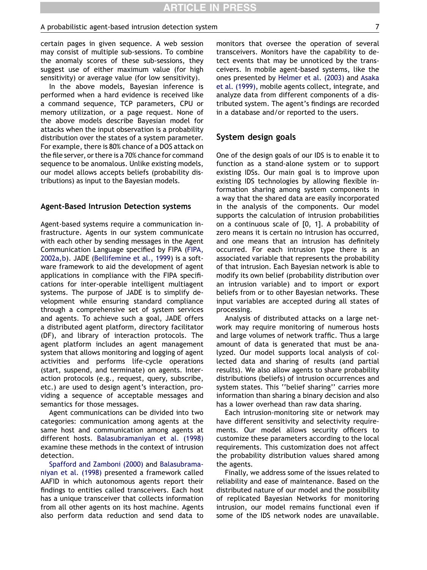certain pages in given sequence. A web session may consist of multiple sub-sessions. To combine the anomaly scores of these sub-sessions, they suggest use of either maximum value (for high sensitivity) or average value (for low sensitivity).

In the above models, Bayesian inference is performed when a hard evidence is received like a command sequence, TCP parameters, CPU or memory utilization, or a page request. None of the above models describe Bayesian model for attacks when the input observation is a probability distribution over the states of a system parameter. For example, there is 80% chance of a DOS attack on the file server, or there is a 70% chance for command sequence to be anomalous. Unlike existing models, our model allows accepts beliefs (probability distributions) as input to the Bayesian models.

#### Agent-Based Intrusion Detection systems

Agent-based systems require a communication infrastructure. Agents in our system communicate with each other by sending messages in the Agent Communication Language specified by FIPA [\(FIPA,](#page-15-0) [2002a,b](#page-15-0)). JADE [\(Bellifemine et al., 1999\)](#page-15-0) is a software framework to aid the development of agent applications in compliance with the FIPA specifications for inter-operable intelligent multiagent systems. The purpose of JADE is to simplify development while ensuring standard compliance through a comprehensive set of system services and agents. To achieve such a goal, JADE offers a distributed agent platform, directory facilitator (DF), and library of interaction protocols. The agent platform includes an agent management system that allows monitoring and logging of agent activities and performs life-cycle operations (start, suspend, and terminate) on agents. Interaction protocols (e.g., request, query, subscribe, etc.) are used to design agent's interaction, providing a sequence of acceptable messages and semantics for those messages.

Agent communications can be divided into two categories: communication among agents at the same host and communication among agents at different hosts. [Balasubramaniyan et al. \(1998\)](#page-14-0) examine these methods in the context of intrusion detection.

[Spafford and Zamboni \(2000\)](#page-15-0) and [Balasubrama](#page-14-0)[niyan et al. \(1998\)](#page-14-0) presented a framework called AAFID in which autonomous agents report their findings to entities called transceivers. Each host has a unique transceiver that collects information from all other agents on its host machine. Agents also perform data reduction and send data to monitors that oversee the operation of several transceivers. Monitors have the capability to detect events that may be unnoticed by the transceivers. In mobile agent-based systems, like the ones presented by [Helmer et al. \(2003\)](#page-15-0) and [Asaka](#page-14-0) [et al. \(1999\)](#page-14-0), mobile agents collect, integrate, and analyze data from different components of a distributed system. The agent's findings are recorded in a database and/or reported to the users.

## System design goals

One of the design goals of our IDS is to enable it to function as a stand-alone system or to support existing IDSs. Our main goal is to improve upon existing IDS technologies by allowing flexible information sharing among system components in a way that the shared data are easily incorporated in the analysis of the components. Our model supports the calculation of intrusion probabilities on a continuous scale of [0, 1]. A probability of zero means it is certain no intrusion has occurred, and one means that an intrusion has definitely occurred. For each intrusion type there is an associated variable that represents the probability of that intrusion. Each Bayesian network is able to modify its own belief (probability distribution over an intrusion variable) and to import or export beliefs from or to other Bayesian networks. These input variables are accepted during all states of processing.

Analysis of distributed attacks on a large network may require monitoring of numerous hosts and large volumes of network traffic. Thus a large amount of data is generated that must be analyzed. Our model supports local analysis of collected data and sharing of results (and partial results). We also allow agents to share probability distributions (beliefs) of intrusion occurrences and system states. This ''belief sharing'' carries more information than sharing a binary decision and also has a lower overhead than raw data sharing.

Each intrusion-monitoring site or network may have different sensitivity and selectivity requirements. Our model allows security officers to customize these parameters according to the local requirements. This customization does not affect the probability distribution values shared among the agents.

Finally, we address some of the issues related to reliability and ease of maintenance. Based on the distributed nature of our model and the possibility of replicated Bayesian Networks for monitoring intrusion, our model remains functional even if some of the IDS network nodes are unavailable.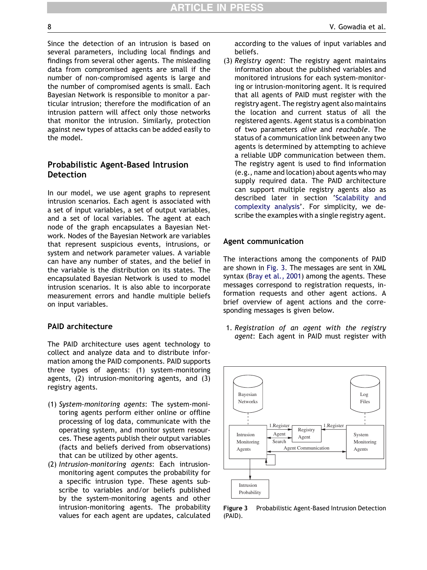Since the detection of an intrusion is based on several parameters, including local findings and findings from several other agents. The misleading data from compromised agents are small if the number of non-compromised agents is large and the number of compromised agents is small. Each Bayesian Network is responsible to monitor a particular intrusion; therefore the modification of an intrusion pattern will affect only those networks that monitor the intrusion. Similarly, protection against new types of attacks can be added easily to the model.

## Probabilistic Agent-Based Intrusion Detection

In our model, we use agent graphs to represent intrusion scenarios. Each agent is associated with a set of input variables, a set of output variables, and a set of local variables. The agent at each node of the graph encapsulates a Bayesian Network. Nodes of the Bayesian Network are variables that represent suspicious events, intrusions, or system and network parameter values. A variable can have any number of states, and the belief in the variable is the distribution on its states. The encapsulated Bayesian Network is used to model intrusion scenarios. It is also able to incorporate measurement errors and handle multiple beliefs on input variables.

## PAID architecture

The PAID architecture uses agent technology to collect and analyze data and to distribute information among the PAID components. PAID supports three types of agents: (1) system-monitoring agents, (2) intrusion-monitoring agents, and (3) registry agents.

- (1) System-monitoring agents: The system-monitoring agents perform either online or offline processing of log data, communicate with the operating system, and monitor system resources. These agents publish their output variables (facts and beliefs derived from observations) that can be utilized by other agents.
- (2) Intrusion-monitoring agents: Each intrusionmonitoring agent computes the probability for a specific intrusion type. These agents subscribe to variables and/or beliefs published by the system-monitoring agents and other intrusion-monitoring agents. The probability values for each agent are updates, calculated

according to the values of input variables and beliefs.

(3) Registry agent: The registry agent maintains information about the published variables and monitored intrusions for each system-monitoring or intrusion-monitoring agent. It is required that all agents of PAID must register with the registry agent. The registry agent also maintains the location and current status of all the registered agents. Agent status is a combination of two parameters alive and reachable. The status of a communication link between any two agents is determined by attempting to achieve a reliable UDP communication between them. The registry agent is used to find information (e.g., name and location) about agents who may supply required data. The PAID architecture can support multiple registry agents also as described later in section 'Scalability and complexity analysis'. For simplicity, we describe the examples with a single registry agent.

#### Agent communication

The interactions among the components of PAID are shown in Fig. 3. The messages are sent in XML syntax ([Bray et al., 2001](#page-15-0)) among the agents. These messages correspond to registration requests, information requests and other agent actions. A brief overview of agent actions and the corresponding messages is given below.

1. Registration of an agent with the registry agent: Each agent in PAID must register with



Figure 3 Probabilistic Agent-Based Intrusion Detection (PAID).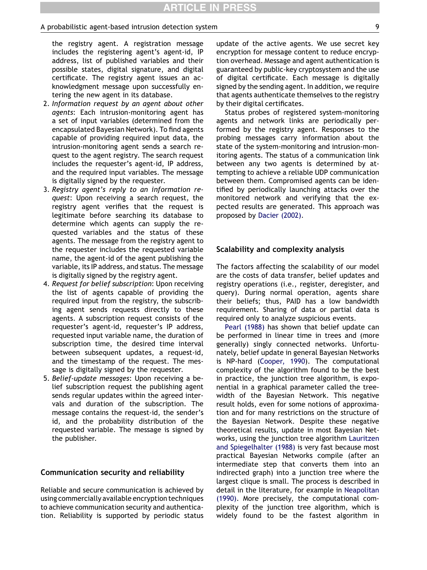the registry agent. A registration message includes the registering agent's agent-id, IP address, list of published variables and their possible states, digital signature, and digital certificate. The registry agent issues an acknowledgment message upon successfully entering the new agent in its database.

- 2. Information request by an agent about other agents: Each intrusion-monitoring agent has a set of input variables (determined from the encapsulated Bayesian Network). To find agents capable of providing required input data, the intrusion-monitoring agent sends a search request to the agent registry. The search request includes the requester's agent-id, IP address, and the required input variables. The message is digitally signed by the requester.
- 3. Registry agent's reply to an information request: Upon receiving a search request, the registry agent verifies that the request is legitimate before searching its database to determine which agents can supply the requested variables and the status of these agents. The message from the registry agent to the requester includes the requested variable name, the agent-id of the agent publishing the variable, its IP address, and status. The message is digitally signed by the registry agent.
- 4. Request for belief subscription: Upon receiving the list of agents capable of providing the required input from the registry, the subscribing agent sends requests directly to these agents. A subscription request consists of the requester's agent-id, requester's IP address, requested input variable name, the duration of subscription time, the desired time interval between subsequent updates, a request-id, and the timestamp of the request. The message is digitally signed by the requester.
- 5. Belief-update messages: Upon receiving a belief subscription request the publishing agent sends regular updates within the agreed intervals and duration of the subscription. The message contains the request-id, the sender's id, and the probability distribution of the requested variable. The message is signed by the publisher.

## Communication security and reliability

Reliable and secure communication is achieved by using commercially available encryption techniques to achieve communication security and authentication. Reliability is supported by periodic status update of the active agents. We use secret key encryption for message content to reduce encryption overhead. Message and agent authentication is guaranteed by public-key cryptosystem and the use of digital certificate. Each message is digitally signed by the sending agent. In addition, we require that agents authenticate themselves to the registry by their digital certificates.

Status probes of registered system-monitoring agents and network links are periodically performed by the registry agent. Responses to the probing messages carry information about the state of the system-monitoring and intrusion-monitoring agents. The status of a communication link between any two agents is determined by attempting to achieve a reliable UDP communication between them. Compromised agents can be identified by periodically launching attacks over the monitored network and verifying that the expected results are generated. This approach was proposed by [Dacier \(2002\)](#page-15-0).

#### Scalability and complexity analysis

The factors affecting the scalability of our model are the costs of data transfer, belief updates and registry operations (i.e., register, deregister, and query). During normal operation, agents share their beliefs; thus, PAID has a low bandwidth requirement. Sharing of data or partial data is required only to analyze suspicious events.

[Pearl \(1988\)](#page-15-0) has shown that belief update can be performed in linear time in trees and (more generally) singly connected networks. Unfortunately, belief update in general Bayesian Networks is NP-hard ([Cooper, 1990](#page-15-0)). The computational complexity of the algorithm found to be the best in practice, the junction tree algorithm, is exponential in a graphical parameter called the treewidth of the Bayesian Network. This negative result holds, even for some notions of approximation and for many restrictions on the structure of the Bayesian Network. Despite these negative theoretical results, update in most Bayesian Networks, using the junction tree algorithm [Lauritzen](#page-15-0) [and Spiegelhalter \(1988\)](#page-15-0) is very fast because most practical Bayesian Networks compile (after an intermediate step that converts them into an indirected graph) into a junction tree where the largest clique is small. The process is described in detail in the literature, for example in [Neapolitan](#page-15-0) [\(1990\).](#page-15-0) More precisely, the computational complexity of the junction tree algorithm, which is widely found to be the fastest algorithm in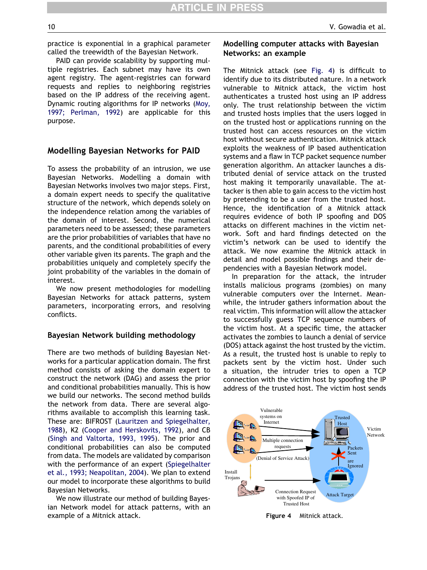practice is exponential in a graphical parameter called the treewidth of the Bayesian Network.

PAID can provide scalability by supporting multiple registries. Each subnet may have its own agent registry. The agent-registries can forward requests and replies to neighboring registries based on the IP address of the receiving agent. Dynamic routing algorithms for IP networks ([Moy,](#page-15-0) [1997; Perlman, 1992\)](#page-15-0) are applicable for this purpose.

## Modelling Bayesian Networks for PAID

To assess the probability of an intrusion, we use Bayesian Networks. Modelling a domain with Bayesian Networks involves two major steps. First, a domain expert needs to specify the qualitative structure of the network, which depends solely on the independence relation among the variables of the domain of interest. Second, the numerical parameters need to be assessed; these parameters are the prior probabilities of variables that have no parents, and the conditional probabilities of every other variable given its parents. The graph and the probabilities uniquely and completely specify the joint probability of the variables in the domain of interest.

We now present methodologies for modelling Bayesian Networks for attack patterns, system parameters, incorporating errors, and resolving conflicts.

#### Bayesian Network building methodology

There are two methods of building Bayesian Networks for a particular application domain. The first method consists of asking the domain expert to construct the network (DAG) and assess the prior and conditional probabilities manually. This is how we build our networks. The second method builds the network from data. There are several algorithms available to accomplish this learning task. These are: BIFROST [\(Lauritzen and Spiegelhalter,](#page-15-0) [1988](#page-15-0)), K2 ([Cooper and Herskovits, 1992](#page-15-0)), and CB ([Singh and Valtorta, 1993, 1995\)](#page-15-0). The prior and conditional probabilities can also be computed from data. The models are validated by comparison with the performance of an expert [\(Spiegelhalter](#page-15-0) [et al., 1993; Neapolitan, 2004\)](#page-15-0). We plan to extend our model to incorporate these algorithms to build Bayesian Networks.

We now illustrate our method of building Bayesian Network model for attack patterns, with an example of a Mitnick attack.

## Modelling computer attacks with Bayesian Networks: an example

The Mitnick attack (see Fig. 4) is difficult to identify due to its distributed nature. In a network vulnerable to Mitnick attack, the victim host authenticates a trusted host using an IP address only. The trust relationship between the victim and trusted hosts implies that the users logged in on the trusted host or applications running on the trusted host can access resources on the victim host without secure authentication. Mitnick attack exploits the weakness of IP based authentication systems and a flaw in TCP packet sequence number generation algorithm. An attacker launches a distributed denial of service attack on the trusted host making it temporarily unavailable. The attacker is then able to gain access to the victim host by pretending to be a user from the trusted host. Hence, the identification of a Mitnick attack requires evidence of both IP spoofing and DOS attacks on different machines in the victim network. Soft and hard findings detected on the victim's network can be used to identify the attack. We now examine the Mitnick attack in detail and model possible findings and their dependencies with a Bayesian Network model.

In preparation for the attack, the intruder installs malicious programs (zombies) on many vulnerable computers over the Internet. Meanwhile, the intruder gathers information about the real victim. This information will allow the attacker to successfully guess TCP sequence numbers of the victim host. At a specific time, the attacker activates the zombies to launch a denial of service (DOS) attack against the host trusted by the victim. As a result, the trusted host is unable to reply to packets sent by the victim host. Under such a situation, the intruder tries to open a TCP connection with the victim host by spoofing the IP address of the trusted host. The victim host sends



Figure 4 Mitnick attack.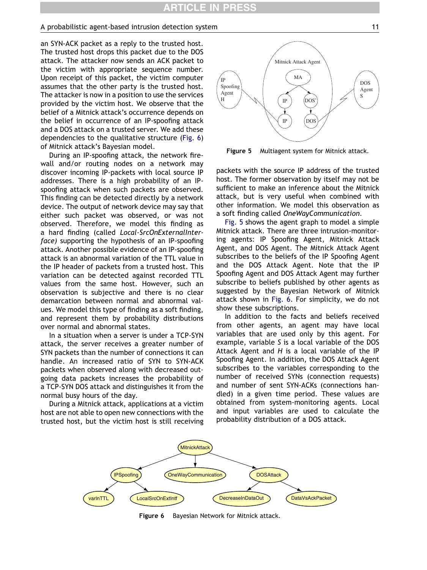an SYN-ACK packet as a reply to the trusted host. The trusted host drops this packet due to the DOS attack. The attacker now sends an ACK packet to the victim with appropriate sequence number. Upon receipt of this packet, the victim computer assumes that the other party is the trusted host. The attacker is now in a position to use the services provided by the victim host. We observe that the belief of a Mitnick attack's occurrence depends on the belief in occurrence of an IP-spoofing attack and a DOS attack on a trusted server. We add these dependencies to the qualitative structure (Fig. 6) of Mitnick attack's Bayesian model.

During an IP-spoofing attack, the network firewall and/or routing nodes on a network may discover incoming IP-packets with local source IP addresses. There is a high probability of an IPspoofing attack when such packets are observed. This finding can be detected directly by a network device. The output of network device may say that either such packet was observed, or was not observed. Therefore, we model this finding as a hard finding (called Local-SrcOnExternalInterface) supporting the hypothesis of an IP-spoofing attack. Another possible evidence of an IP-spoofing attack is an abnormal variation of the TTL value in the IP header of packets from a trusted host. This variation can be detected against recorded TTL values from the same host. However, such an observation is subjective and there is no clear demarcation between normal and abnormal values. We model this type of finding as a soft finding, and represent them by probability distributions over normal and abnormal states.

In a situation when a server is under a TCP-SYN attack, the server receives a greater number of SYN packets than the number of connections it can handle. An increased ratio of SYN to SYN-ACK packets when observed along with decreased outgoing data packets increases the probability of a TCP-SYN DOS attack and distinguishes it from the normal busy hours of the day.

During a Mitnick attack, applications at a victim host are not able to open new connections with the trusted host, but the victim host is still receiving



Figure 5 Multiagent system for Mitnick attack.

packets with the source IP address of the trusted host. The former observation by itself may not be sufficient to make an inference about the Mitnick attack, but is very useful when combined with other information. We model this observation as a soft finding called OneWayCommunication.

Fig. 5 shows the agent graph to model a simple Mitnick attack. There are three intrusion-monitoring agents: IP Spoofing Agent, Mitnick Attack Agent, and DOS Agent. The Mitnick Attack Agent subscribes to the beliefs of the IP Spoofing Agent and the DOS Attack Agent. Note that the IP Spoofing Agent and DOS Attack Agent may further subscribe to beliefs published by other agents as suggested by the Bayesian Network of Mitnick attack shown in Fig. 6. For simplicity, we do not show these subscriptions.

In addition to the facts and beliefs received from other agents, an agent may have local variables that are used only by this agent. For example, variable S is a local variable of the DOS Attack Agent and  $H$  is a local variable of the IP Spoofing Agent. In addition, the DOS Attack Agent subscribes to the variables corresponding to the number of received SYNs (connection requests) and number of sent SYN-ACKs (connections handled) in a given time period. These values are obtained from system-monitoring agents. Local and input variables are used to calculate the probability distribution of a DOS attack.



Figure 6 Bayesian Network for Mitnick attack.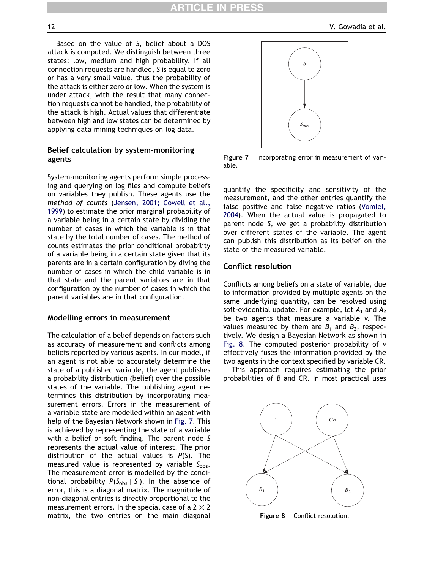Based on the value of S, belief about a DOS attack is computed. We distinguish between three states: low, medium and high probability. If all connection requests are handled, S is equal to zero or has a very small value, thus the probability of the attack is either zero or low. When the system is under attack, with the result that many connection requests cannot be handled, the probability of the attack is high. Actual values that differentiate between high and low states can be determined by applying data mining techniques on log data.

## Belief calculation by system-monitoring agents

System-monitoring agents perform simple processing and querying on log files and compute beliefs on variables they publish. These agents use the method of counts ([Jensen, 2001; Cowell et al.,](#page-15-0) [1999](#page-15-0)) to estimate the prior marginal probability of a variable being in a certain state by dividing the number of cases in which the variable is in that state by the total number of cases. The method of counts estimates the prior conditional probability of a variable being in a certain state given that its parents are in a certain configuration by diving the number of cases in which the child variable is in that state and the parent variables are in that configuration by the number of cases in which the parent variables are in that configuration.

#### Modelling errors in measurement

The calculation of a belief depends on factors such as accuracy of measurement and conflicts among beliefs reported by various agents. In our model, if an agent is not able to accurately determine the state of a published variable, the agent publishes a probability distribution (belief) over the possible states of the variable. The publishing agent determines this distribution by incorporating measurement errors. Errors in the measurement of a variable state are modelled within an agent with help of the Bayesian Network shown in Fig. 7. This is achieved by representing the state of a variable with a belief or soft finding. The parent node S represents the actual value of interest. The prior distribution of the actual values is P(S). The measured value is represented by variable  $S_{obs}$ . The measurement error is modelled by the conditional probability  $P(S_{obs} | S)$ . In the absence of error, this is a diagonal matrix. The magnitude of non-diagonal entries is directly proportional to the measurement errors. In the special case of a  $2 \times 2$ matrix, the two entries on the main diagonal



Figure 7 Incorporating error in measurement of variable.

quantify the specificity and sensitivity of the measurement, and the other entries quantify the false positive and false negative ratios [\(Vomlel,](#page-15-0) [2004](#page-15-0)). When the actual value is propagated to parent node S, we get a probability distribution over different states of the variable. The agent can publish this distribution as its belief on the state of the measured variable.

## Conflict resolution

Conflicts among beliefs on a state of variable, due to information provided by multiple agents on the same underlying quantity, can be resolved using soft-evidential update. For example, let  $A_1$  and  $A_2$ be two agents that measure a variable v. The values measured by them are  $B_1$  and  $B_2$ , respectively. We design a Bayesian Network as shown in Fig. 8. The computed posterior probability of v effectively fuses the information provided by the two agents in the context specified by variable CR.

This approach requires estimating the prior probabilities of  $B$  and CR. In most practical uses



Figure 8 Conflict resolution.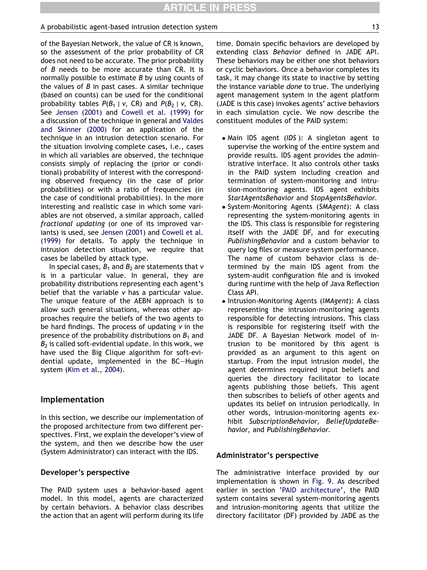of the Bayesian Network, the value of CR is known, so the assessment of the prior probability of CR does not need to be accurate. The prior probability of B needs to be more accurate than CR. It is normally possible to estimate B by using counts of the values of  $B$  in past cases. A similar technique (based on counts) can be used for the conditional probability tables  $P(B_1 | v, CR)$  and  $P(B_2 | v, CR)$ . See [Jensen \(2001\)](#page-15-0) and [Cowell et al. \(1999\)](#page-15-0) for a discussion of the technique in general and [Valdes](#page-15-0) [and Skinner \(2000\)](#page-15-0) for an application of the technique in an intrusion detection scenario. For the situation involving complete cases, i.e., cases in which all variables are observed, the technique consists simply of replacing the (prior or conditional) probability of interest with the corresponding observed frequency (in the case of prior probabilities) or with a ratio of frequencies (in the case of conditional probabilities). In the more interesting and realistic case in which some variables are not observed, a similar approach, called fractional updating (or one of its improved variants) is used, see [Jensen \(2001\)](#page-15-0) and [Cowell et al.](#page-15-0) [\(1999\)](#page-15-0) for details. To apply the technique in intrusion detection situation, we require that cases be labelled by attack type.

In special cases,  $B_1$  and  $B_2$  are statements that v is in a particular value. In general, they are probability distributions representing each agent's belief that the variable v has a particular value. The unique feature of the AEBN approach is to allow such general situations, whereas other approaches require the beliefs of the two agents to be hard findings. The process of updating v in the presence of the probability distributions on  $B_1$  and  $B<sub>2</sub>$  is called soft-evidential update. In this work, we have used the Big Clique algorithm for soft-evidential update, implemented in the  $BC-Hu$ gin system ([Kim et al., 2004\)](#page-15-0).

## Implementation

In this section, we describe our implementation of the proposed architecture from two different perspectives. First, we explain the developer's view of the system, and then we describe how the user (System Administrator) can interact with the IDS.

## Developer's perspective

The PAID system uses a behavior-based agent model. In this model, agents are characterized by certain behaviors. A behavior class describes the action that an agent will perform during its life time. Domain specific behaviors are developed by extending class Behavior defined in JADE API. These behaviors may be either one shot behaviors or cyclic behaviors. Once a behavior completes its task, it may change its state to inactive by setting the instance variable done to true. The underlying agent management system in the agent platform (JADE is this case) invokes agents' active behaviors in each simulation cycle. We now describe the constituent modules of the PAID system:

- Main IDS agent (IDS): A singleton agent to supervise the working of the entire system and provide results. IDS agent provides the administrative interface. It also controls other tasks in the PAID system including creation and termination of system-monitoring and intrusion-monitoring agents. IDS agent exhibits StartAgentsBehavior and StopAgentsBehavior.
- System-Monitoring Agents (SMAgent): A class representing the system-monitoring agents in the IDS. This class is responsible for registering itself with the JADE DF, and for executing PublishingBehavior and a custom behavior to query log files or measure system performance. The name of custom behavior class is determined by the main IDS agent from the system-audit configuration file and is invoked during runtime with the help of Java Reflection Class API.
- Intrusion-Monitoring Agents (IMAgent): A class representing the intrusion-monitoring agents responsible for detecting intrusions. This class is responsible for registering itself with the JADE DF. A Bayesian Network model of intrusion to be monitored by this agent is provided as an argument to this agent on startup. From the input intrusion model, the agent determines required input beliefs and queries the directory facilitator to locate agents publishing those beliefs. This agent then subscribes to beliefs of other agents and updates its belief on intrusion periodically. In other words, intrusion-monitoring agents exhibit SubscriptionBehavior, BeliefUpdateBehavior, and PublishingBehavior.

#### Administrator's perspective

The administrative interface provided by our implementation is shown in [Fig. 9](#page-13-0). As described earlier in section 'PAID architecture', the PAID system contains several system-monitoring agents and intrusion-monitoring agents that utilize the directory facilitator (DF) provided by JADE as the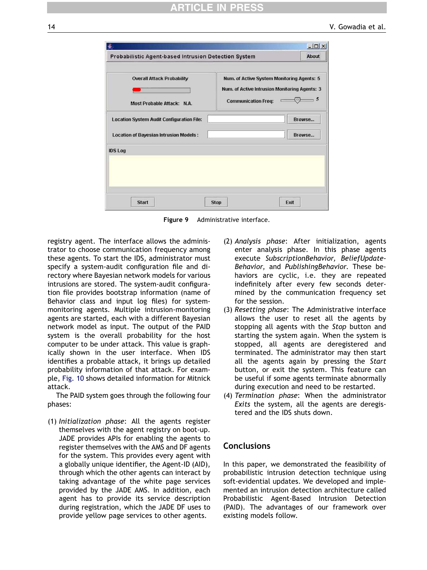<span id="page-13-0"></span>14 V. Gowadia et al.

| <b>Overall Attack Probability</b><br>Most Probable Attack: N.A.                                   | Num. of Active System Monitoring Agents: 5<br>Num. of Active Intrusion Monitoring Agents: 3<br>5<br><b>Communication Freq:</b> |
|---------------------------------------------------------------------------------------------------|--------------------------------------------------------------------------------------------------------------------------------|
| <b>Location System Audit Configuration File:</b><br><b>Location of Bayesian Intrusion Models:</b> | Browse<br>Browse                                                                                                               |
| <b>IDS Log</b>                                                                                    |                                                                                                                                |
|                                                                                                   |                                                                                                                                |

Figure 9 Administrative interface.

registry agent. The interface allows the administrator to choose communication frequency among these agents. To start the IDS, administrator must specify a system-audit configuration file and directory where Bayesian network models for various intrusions are stored. The system-audit configuration file provides bootstrap information (name of Behavior class and input log files) for systemmonitoring agents. Multiple intrusion-monitoring agents are started, each with a different Bayesian network model as input. The output of the PAID system is the overall probability for the host computer to be under attack. This value is graphically shown in the user interface. When IDS identifies a probable attack, it brings up detailed probability information of that attack. For example, [Fig. 10](#page-14-0) shows detailed information for Mitnick attack.

The PAID system goes through the following four phases:

(1) Initialization phase: All the agents register themselves with the agent registry on boot-up. JADE provides APIs for enabling the agents to register themselves with the AMS and DF agents for the system. This provides every agent with a globally unique identifier, the Agent-ID (AID), through which the other agents can interact by taking advantage of the white page services provided by the JADE AMS. In addition, each agent has to provide its service description during registration, which the JADE DF uses to provide yellow page services to other agents.

- (2) Analysis phase: After initialization, agents enter analysis phase. In this phase agents execute SubscriptionBehavior, BeliefUpdate-Behavior, and PublishingBehavior. These behaviors are cyclic, i.e. they are repeated indefinitely after every few seconds determined by the communication frequency set for the session.
- (3) Resetting phase: The Administrative interface allows the user to reset all the agents by stopping all agents with the Stop button and starting the system again. When the system is stopped, all agents are deregistered and terminated. The administrator may then start all the agents again by pressing the Start button, or exit the system. This feature can be useful if some agents terminate abnormally during execution and need to be restarted.
- (4) Termination phase: When the administrator Exits the system, all the agents are deregistered and the IDS shuts down.

## **Conclusions**

In this paper, we demonstrated the feasibility of probabilistic intrusion detection technique using soft-evidential updates. We developed and implemented an intrusion detection architecture called Probabilistic Agent-Based Intrusion Detection (PAID). The advantages of our framework over existing models follow.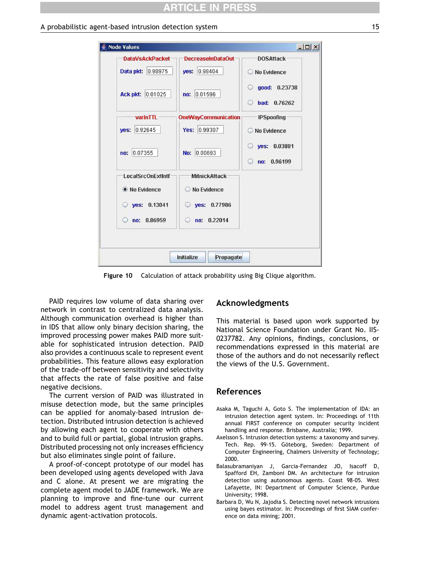<span id="page-14-0"></span>

| DataVsAckPacket          | DecreaseInDataOut-         | <b>DOSAttack</b>                   |
|--------------------------|----------------------------|------------------------------------|
| Data pkt: 0.98975        | ves: 0.98404               | No Evidence                        |
|                          |                            | good: 0.23738<br>63                |
| Ack pkt: 0.01025         | no: 0.01596                | bad: 0.76262<br>O                  |
| varinTTL-                | <b>OneWayCommunication</b> | <b>IPSpoofing</b>                  |
| yes: 0.92645             | Yes: 0.99307               | No Evidence<br>$\circlearrowright$ |
| no: 0.07355              | 0.00693<br>No:             | yes: 0.03801<br>$\bigcirc$         |
|                          |                            | no: 0.96199<br>O                   |
| <b>LocalSrcOnExtIntf</b> | <b>MitnickAttack</b>       |                                    |
| • No Evidence            | Mo Evidence                |                                    |
| ves: 0.13041             | $\circ$ yes: 0.77986       |                                    |
| 0.86959<br>no:           | ⊙<br>no: 0.22014           |                                    |
|                          |                            |                                    |

Figure 10 Calculation of attack probability using Big Clique algorithm.

PAID requires low volume of data sharing over network in contrast to centralized data analysis. Although communication overhead is higher than in IDS that allow only binary decision sharing, the improved processing power makes PAID more suitable for sophisticated intrusion detection. PAID also provides a continuous scale to represent event probabilities. This feature allows easy exploration of the trade-off between sensitivity and selectivity that affects the rate of false positive and false negative decisions.

The current version of PAID was illustrated in misuse detection mode, but the same principles can be applied for anomaly-based intrusion detection. Distributed intrusion detection is achieved by allowing each agent to cooperate with others and to build full or partial, global intrusion graphs. Distributed processing not only increases efficiency but also eliminates single point of failure.

A proof-of-concept prototype of our model has been developed using agents developed with Java and C alone. At present we are migrating the complete agent model to JADE framework. We are planning to improve and fine-tune our current model to address agent trust management and dynamic agent-activation protocols.

## Acknowledgments

This material is based upon work supported by National Science Foundation under Grant No. IIS-0237782. Any opinions, findings, conclusions, or recommendations expressed in this material are those of the authors and do not necessarily reflect the views of the U.S. Government.

## References

- Asaka M, Taguchi A, Goto S. The implementation of IDA: an intrusion detection agent system. In: Proceedings of 11th annual FIRST conference on computer security incident handling and response. Brisbane, Australia; 1999.
- Axelsson S. Intrusion detection systems: a taxonomy and survey. Tech. Rep. 99-15. Göteborg, Sweden: Department of Computer Engineering, Chalmers University of Technology; 2000.
- Balasubramaniyan J, Garcia-Fernandez JO, Isacoff D, Spafford EH, Zamboni DM. An architecture for intrusion detection using autonomous agents. Coast 98-05. West Lafayette, IN: Department of Computer Science, Purdue University; 1998.
- Barbara D, Wu N, Jajodia S. Detecting novel network intrusions using bayes estimator. In: Proceedings of first SIAM conference on data mining; 2001.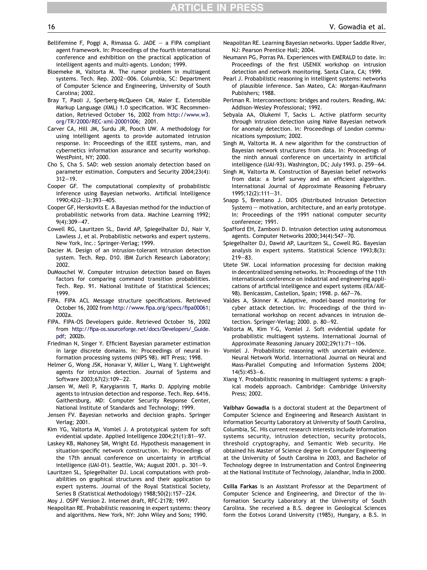- <span id="page-15-0"></span>Bellifemine F, Poggi A, Rimassa G. JADE  $-$  a FIPA compliant agent framework. In: Proceedings of the fourth international conference and exhibition on the practical application of intelligent agents and multi-agents. London; 1999.
- Bloemeke M, Valtorta M. The rumor problem in multiagent systems. Tech. Rep. 2002-006. Columbia, SC: Department of Computer Science and Engineering, University of South Carolina; 2002.
- Bray T, Paoli J, Sperberg-McQueen CM, Maler E. Extensible Markup Language (XML) 1.0 specification. W3C Recommendation, Retrieved October 16, 2002 from [http://www.w3.](http://www.w3.org/TR/2000/REC-xml-20001006) [org/TR/2000/REC-xml-20001006](http://www.w3.org/TR/2000/REC-xml-20001006); 2001.
- Carver CA, Hill JM, Surdu JR, Pooch UW. A methodology for using intelligent agents to provide automated intrusion response. In: Proceedings of the IEEE systems, man, and cybernetics information assurance and security workshop. WestPoint, NY; 2000.
- Cho S, Cha S. SAD: web session anomaly detection based on parameter estimation. Computers and Security 2004;23(4):  $312 - 19$ .
- Cooper GF. The computational complexity of probabilistic inference using Bayesian networks. Artificial Intelligence 1990;42(2-3):393-405.
- Cooper GF, Herskovits E. A Bayesian method for the induction of probabilistic networks from data. Machine Learning 1992;  $9(4):309-47.$
- Cowell RG, Lauritzen SL, David AP, Spiegelhalter DJ, Nair V, Lawless J, et al. Probabilistic networks and expert systems. New York, Inc.: Springer-Verlag; 1999.
- Dacier M. Design of an intrusion-tolerant intrusion detection system. Tech. Rep. D10. IBM Zurich Research Laboratory; 2002.
- DuMouchel W. Computer intrusion detection based on Bayes factors for comparing command transition probabilities. Tech. Rep. 91. National Institute of Statistical Sciences; 1999.
- FIPA. FIPA ACL Message structure specifications. Retrieved October 16, 2002 from [http://www.fipa.org/specs/fipa00061;](http://www.fipa.org/specs/fipa00061) 2002a.
- FIPA. FIPA-OS Developers guide. Retrieved October 16, 2002 from [http://fipa-os.sourceforge.net/docs/Developers/\\_Guide.](http://fipa-os.sourceforge.net/docs/Developers-Guide.pdf) [pdf;](http://fipa-os.sourceforge.net/docs/Developers-Guide.pdf) 2002b.
- Friedman N, Singer Y. Efficient Bayesian parameter estimation in large discrete domains. In: Proceedings of neural information processing systems (NIPS 98). MIT Press; 1998.
- Helmer G, Wong JSK, Honavar V, Miller L, Wang Y. Lightweight agents for intrusion detection. Journal of Systems and Software 2003;67(2):109-22.
- Jansen W, Mell P, Karygiannis T, Marks D. Applying mobile agents to intrusion detection and response. Tech. Rep. 6416. Gaithersburg, MD: Computer Security Response Center, National Institute of Standards and Technology; 1999.
- Jensen FV. Bayesian networks and decision graphs. Springer Verlag; 2001.
- Kim YG, Valtorta M, Vomlel J. A prototypical system for soft evidential update. Applied Intelligence  $2004;21(1):81-97$ .
- Laskey KB, Mahoney SM, Wright Ed. Hypothesis management in situation-specific network construction. In: Proceedings of the 17th annual conference on uncertainty in artificial intelligence (UAI-01). Seattle, WA; August 2001. p.  $301-9$ .
- Lauritzen SL, Spiegelhalter DJ. Local computations with probabilities on graphical structures and their application to expert systems. Journal of the Royal Statistical Society, Series B (Statistical Methodology) 1988;50(2):157-224.
- Moy J. OSPF Version 2. Internet draft, RFC-2178; 1997.
- Neapolitan RE. Probabilistic reasoning in expert systems: theory and algorithms. New York, NY: John Wiley and Sons; 1990.
- Neapolitan RE. Learning Bayesian networks. Upper Saddle River, NJ: Pearson Prentice Hall; 2004.
- Neumann PG, Porras PA. Experiences with EMERALD to date. In: Proceedings of the first USENIX workshop on intrusion detection and network monitoring. Santa Clara, CA; 1999.
- Pearl J. Probabilistic reasoning in intelligent systems: networks of plausible inference. San Mateo, CA: Morgan-Kaufmann Publishers; 1988.
- Perlman R. Interconnections: bridges and routers. Reading, MA: Addison-Wesley Professional; 1992.
- Sebyala AA, Olukemi T, Sacks L. Active platform security through intrusion detection using Naïve Bayesian network for anomaly detection. In: Proceedings of London communications symposium; 2002.
- Singh M, Valtorta M. A new algorithm for the construction of Bayesian network structures from data. In: Proceedings of the ninth annual conference on uncertainty in artificial intelligence (UAI-93). Washington, DC; July 1993. p. 259-64.
- Singh M, Valtorta M. Construction of Bayesian belief networks from data: a brief survey and an efficient algorithm. International Journal of Approximate Reasoning February 1995:12(2):111-31.
- Snapp S, Brentano J. DIDS (Distributed Intrusion Detection  $System$ ) – motivation, architecture, and an early prototype. In: Proceedings of the 1991 national computer security conference; 1991.
- Spafford EH, Zamboni D. Intrusion detection using autonomous agents. Computer Networks  $2000;34(4):547-70$ .
- Spiegelhalter DJ, Dawid AP, Lauritzen SL, Cowell RG. Bayesian analysis in expert systems. Statistical Science 1993;8(3):  $219 - 83.$
- Utete SW. Local information processing for decision making in decentralized sensing networks. In: Proceedings of the 11th international conference on industrial and engineering applications of artificial intelligence and expert systems (IEA/AIE-98). Benicassim, Castellon, Spain; 1998. p. 667-76.
- Valdes A, Skinner K. Adaptive, model-based monitoring for cyber attack detection. In: Proceedings of the third international workshop on recent advances in intrusion detection. Springer-Verlag; 2000. p. 80-92.
- Valtorta M, Kim Y-G, Vomlel J. Soft evidential update for probabilistic multiagent systems. International Journal of Approximate Reasoning January 2002;29(1):71-106.
- Vomlel J. Probabilistic reasoning with uncertain evidence. Neural Network World. International Journal on Neural and Mass-Parallel Computing and Information Systems 2004;  $14(5):453-6.$
- Xiang Y. Probabilistic reasoning in multiagent systems: a graphical models approach. Cambridge: Cambridge University Press; 2002.

Vaibhav Gowadia is a doctoral student at the Department of Computer Science and Engineering and Research Assistant in Information Security Laboratory at University of South Carolina, Columbia, SC. His current research interests include information systems security, intrusion detection, security protocols, threshold cryptography, and Semantic Web security. He obtained his Master of Science degree in Computer Engineering at the University of South Carolina in 2003, and Bachelor of Technology degree in Instrumentation and Control Engineering at the National Institute of Technology, Jalandhar, India in 2000.

Csilla Farkas is an Assistant Professor at the Department of Computer Science and Engineering, and Director of the Information Security Laboratory at the University of South Carolina. She received a B.S. degree in Geological Sciences form the Eotvos Lorand University (1985), Hungary, a B.S. in